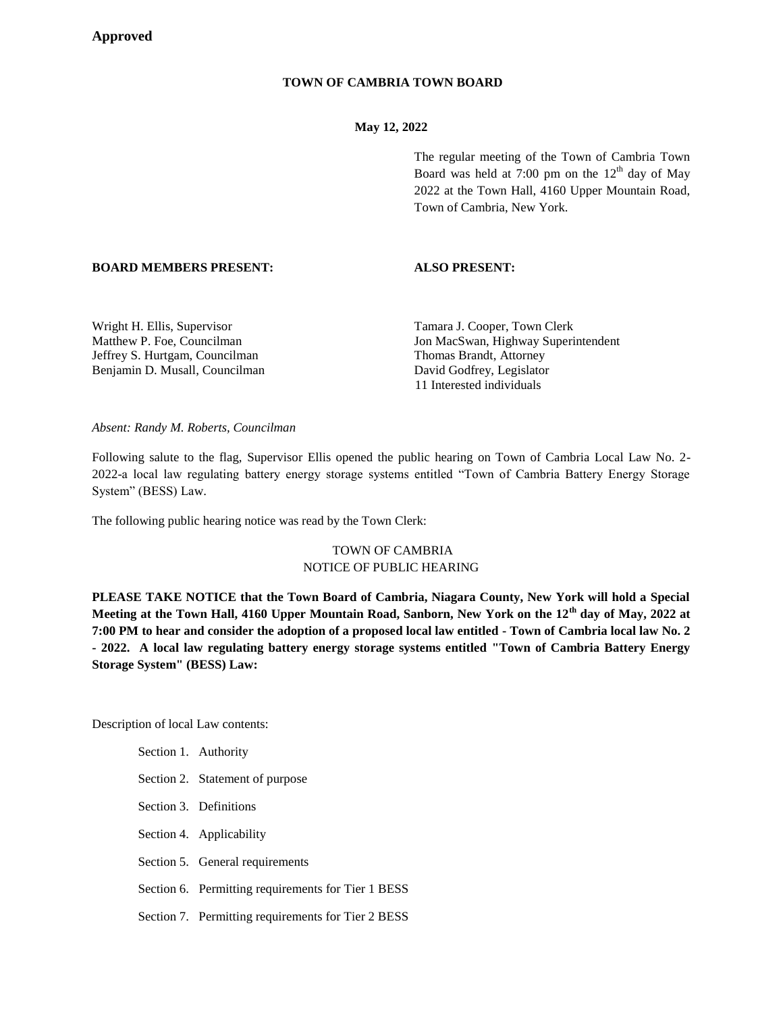# **TOWN OF CAMBRIA TOWN BOARD**

## **May 12, 2022**

The regular meeting of the Town of Cambria Town Board was held at 7:00 pm on the  $12<sup>th</sup>$  day of May 2022 at the Town Hall, 4160 Upper Mountain Road, Town of Cambria, New York.

## **BOARD MEMBERS PRESENT: ALSO PRESENT:**

Jeffrey S. Hurtgam, Councilman Thomas Brandt, Attorney Benjamin D. Musall, Councilman David Godfrey, Legislator

Wright H. Ellis, Supervisor Tamara J. Cooper, Town Clerk Matthew P. Foe, Councilman Jon MacSwan, Highway Superintendent 11 Interested individuals

*Absent: Randy M. Roberts, Councilman*

Following salute to the flag, Supervisor Ellis opened the public hearing on Town of Cambria Local Law No. 2- 2022-a local law regulating battery energy storage systems entitled "Town of Cambria Battery Energy Storage System" (BESS) Law.

The following public hearing notice was read by the Town Clerk:

# TOWN OF CAMBRIA NOTICE OF PUBLIC HEARING

**PLEASE TAKE NOTICE that the Town Board of Cambria, Niagara County, New York will hold a Special Meeting at the Town Hall, 4160 Upper Mountain Road, Sanborn, New York on the 12th day of May, 2022 at 7:00 PM to hear and consider the adoption of a proposed local law entitled - Town of Cambria local law No. 2 - 2022. A local law regulating battery energy storage systems entitled "Town of Cambria Battery Energy Storage System" (BESS) Law:**

Description of local Law contents:

Section 1. Authority Section 2. Statement of purpose Section 3. Definitions Section 4. Applicability Section 5. General requirements Section 6. Permitting requirements for Tier 1 BESS

Section 7. Permitting requirements for Tier 2 BESS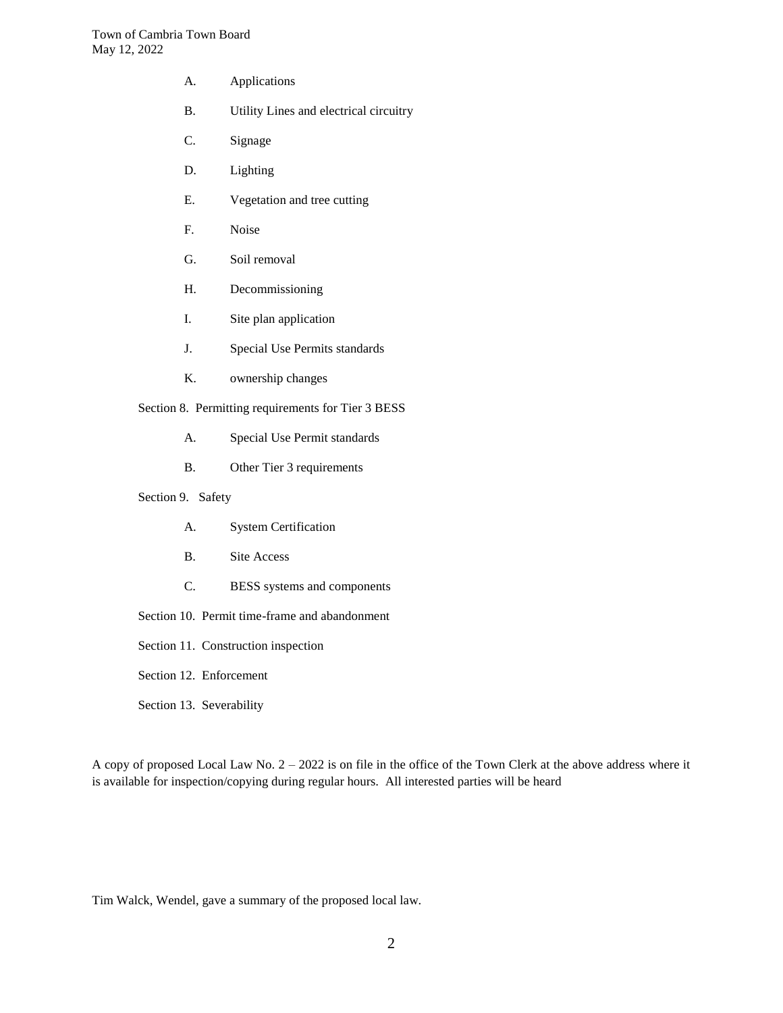- A. Applications
- B. Utility Lines and electrical circuitry
- C. Signage
- D. Lighting
- E. Vegetation and tree cutting
- F. Noise
- G. Soil removal
- H. Decommissioning
- I. Site plan application
- J. Special Use Permits standards
- K. ownership changes

Section 8. Permitting requirements for Tier 3 BESS

- A. Special Use Permit standards
- B. Other Tier 3 requirements
- Section 9. Safety
	- A. System Certification
	- B. Site Access
	- C. BESS systems and components
- Section 10. Permit time-frame and abandonment
- Section 11. Construction inspection
- Section 12. Enforcement
- Section 13. Severability

A copy of proposed Local Law No. 2 – 2022 is on file in the office of the Town Clerk at the above address where it is available for inspection/copying during regular hours. All interested parties will be heard

Tim Walck, Wendel, gave a summary of the proposed local law.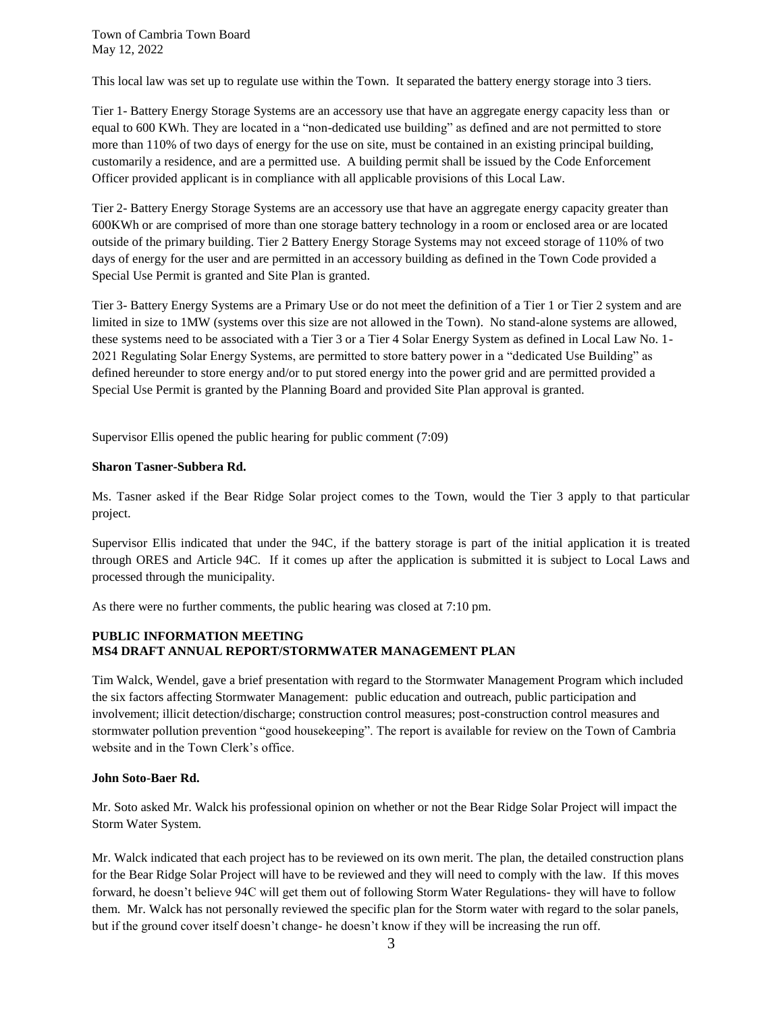This local law was set up to regulate use within the Town. It separated the battery energy storage into 3 tiers.

Tier 1- Battery Energy Storage Systems are an accessory use that have an aggregate energy capacity less than or equal to 600 KWh. They are located in a "non-dedicated use building" as defined and are not permitted to store more than 110% of two days of energy for the use on site, must be contained in an existing principal building, customarily a residence, and are a permitted use. A building permit shall be issued by the Code Enforcement Officer provided applicant is in compliance with all applicable provisions of this Local Law.

Tier 2- Battery Energy Storage Systems are an accessory use that have an aggregate energy capacity greater than 600KWh or are comprised of more than one storage battery technology in a room or enclosed area or are located outside of the primary building. Tier 2 Battery Energy Storage Systems may not exceed storage of 110% of two days of energy for the user and are permitted in an accessory building as defined in the Town Code provided a Special Use Permit is granted and Site Plan is granted.

Tier 3- Battery Energy Systems are a Primary Use or do not meet the definition of a Tier 1 or Tier 2 system and are limited in size to 1MW (systems over this size are not allowed in the Town). No stand-alone systems are allowed, these systems need to be associated with a Tier 3 or a Tier 4 Solar Energy System as defined in Local Law No. 1- 2021 Regulating Solar Energy Systems, are permitted to store battery power in a "dedicated Use Building" as defined hereunder to store energy and/or to put stored energy into the power grid and are permitted provided a Special Use Permit is granted by the Planning Board and provided Site Plan approval is granted.

Supervisor Ellis opened the public hearing for public comment (7:09)

## **Sharon Tasner-Subbera Rd.**

Ms. Tasner asked if the Bear Ridge Solar project comes to the Town, would the Tier 3 apply to that particular project.

Supervisor Ellis indicated that under the 94C, if the battery storage is part of the initial application it is treated through ORES and Article 94C. If it comes up after the application is submitted it is subject to Local Laws and processed through the municipality.

As there were no further comments, the public hearing was closed at 7:10 pm.

## **PUBLIC INFORMATION MEETING MS4 DRAFT ANNUAL REPORT/STORMWATER MANAGEMENT PLAN**

Tim Walck, Wendel, gave a brief presentation with regard to the Stormwater Management Program which included the six factors affecting Stormwater Management: public education and outreach, public participation and involvement; illicit detection/discharge; construction control measures; post-construction control measures and stormwater pollution prevention "good housekeeping". The report is available for review on the Town of Cambria website and in the Town Clerk's office.

## **John Soto-Baer Rd.**

Mr. Soto asked Mr. Walck his professional opinion on whether or not the Bear Ridge Solar Project will impact the Storm Water System.

Mr. Walck indicated that each project has to be reviewed on its own merit. The plan, the detailed construction plans for the Bear Ridge Solar Project will have to be reviewed and they will need to comply with the law. If this moves forward, he doesn't believe 94C will get them out of following Storm Water Regulations- they will have to follow them. Mr. Walck has not personally reviewed the specific plan for the Storm water with regard to the solar panels, but if the ground cover itself doesn't change- he doesn't know if they will be increasing the run off.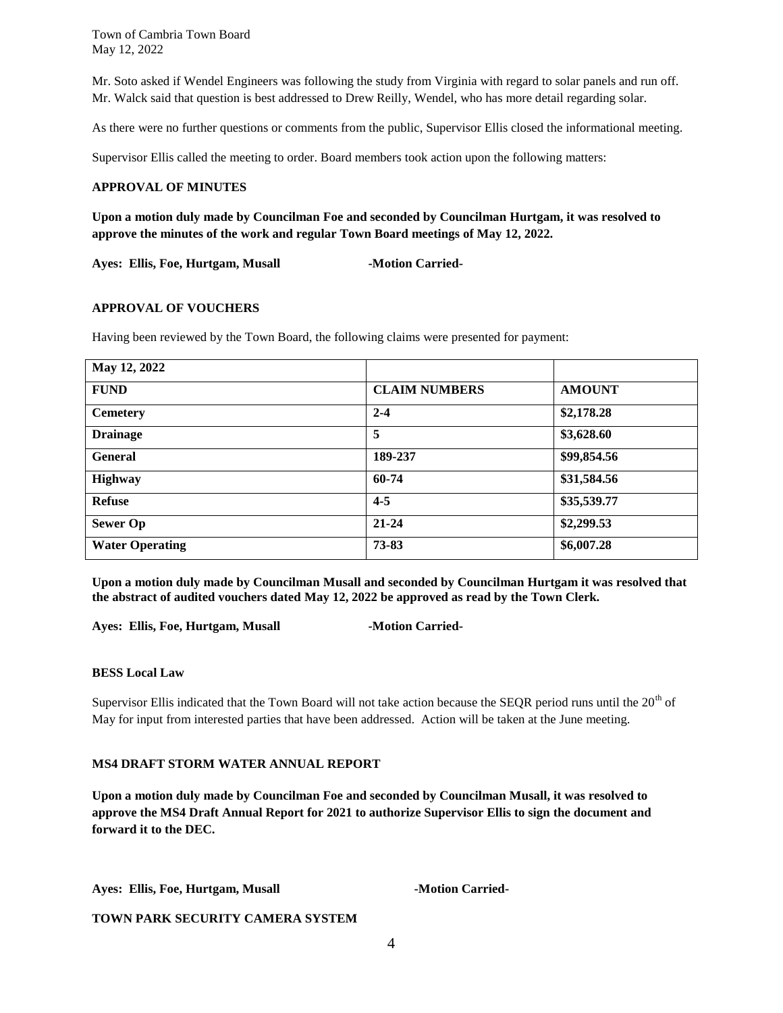Mr. Soto asked if Wendel Engineers was following the study from Virginia with regard to solar panels and run off. Mr. Walck said that question is best addressed to Drew Reilly, Wendel, who has more detail regarding solar.

As there were no further questions or comments from the public, Supervisor Ellis closed the informational meeting.

Supervisor Ellis called the meeting to order. Board members took action upon the following matters:

## **APPROVAL OF MINUTES**

**Upon a motion duly made by Councilman Foe and seconded by Councilman Hurtgam, it was resolved to approve the minutes of the work and regular Town Board meetings of May 12, 2022.**

Ayes: Ellis, Foe, Hurtgam, Musall **-Motion Carried-**

#### **APPROVAL OF VOUCHERS**

Having been reviewed by the Town Board, the following claims were presented for payment:

| May 12, 2022           |                      |               |
|------------------------|----------------------|---------------|
| <b>FUND</b>            | <b>CLAIM NUMBERS</b> | <b>AMOUNT</b> |
| <b>Cemetery</b>        | $2 - 4$              | \$2,178.28    |
| <b>Drainage</b>        | 5                    | \$3,628.60    |
| <b>General</b>         | 189-237              | \$99,854.56   |
| <b>Highway</b>         | 60-74                | \$31,584.56   |
| <b>Refuse</b>          | $4 - 5$              | \$35,539.77   |
| <b>Sewer Op</b>        | $21 - 24$            | \$2,299.53    |
| <b>Water Operating</b> | 73-83                | \$6,007.28    |

**Upon a motion duly made by Councilman Musall and seconded by Councilman Hurtgam it was resolved that the abstract of audited vouchers dated May 12, 2022 be approved as read by the Town Clerk.**

Ayes: Ellis, Foe, Hurtgam, Musall **-Motion Carried-**

#### **BESS Local Law**

Supervisor Ellis indicated that the Town Board will not take action because the SEQR period runs until the  $20<sup>th</sup>$  of May for input from interested parties that have been addressed. Action will be taken at the June meeting.

## **MS4 DRAFT STORM WATER ANNUAL REPORT**

**Upon a motion duly made by Councilman Foe and seconded by Councilman Musall, it was resolved to approve the MS4 Draft Annual Report for 2021 to authorize Supervisor Ellis to sign the document and forward it to the DEC.**

Ayes: Ellis, Foe, Hurtgam, Musall **-Motion Carried-**

**TOWN PARK SECURITY CAMERA SYSTEM**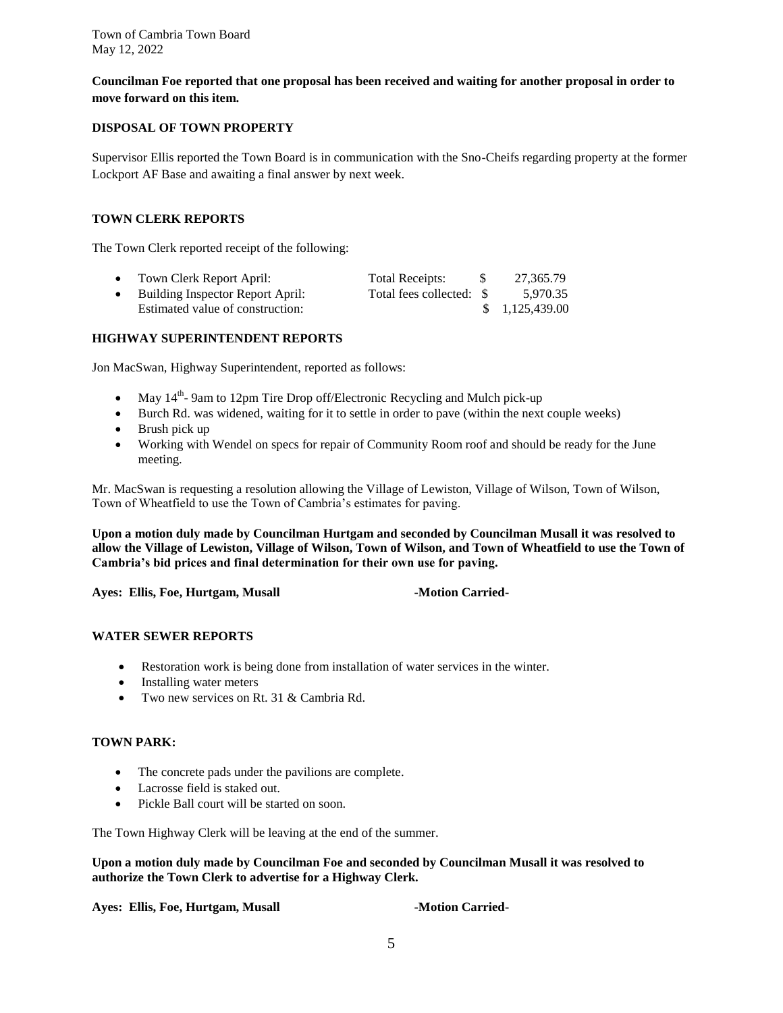**Councilman Foe reported that one proposal has been received and waiting for another proposal in order to move forward on this item.** 

## **DISPOSAL OF TOWN PROPERTY**

Supervisor Ellis reported the Town Board is in communication with the Sno-Cheifs regarding property at the former Lockport AF Base and awaiting a final answer by next week.

## **TOWN CLERK REPORTS**

The Town Clerk reported receipt of the following:

| $\bullet$ | Town Clerk Report April:         | Total Receipts: | - \$ | 27.365.79      |
|-----------|----------------------------------|-----------------|------|----------------|
|           | Building Inspector Report April: |                 |      | 5.970.35       |
|           | Estimated value of construction: |                 |      | \$1,125,439.00 |

## **HIGHWAY SUPERINTENDENT REPORTS**

Jon MacSwan, Highway Superintendent, reported as follows:

- May  $14^{th}$  9am to 12pm Tire Drop off/Electronic Recycling and Mulch pick-up
- Burch Rd. was widened, waiting for it to settle in order to pave (within the next couple weeks)
- Brush pick up
- Working with Wendel on specs for repair of Community Room roof and should be ready for the June meeting.

Mr. MacSwan is requesting a resolution allowing the Village of Lewiston, Village of Wilson, Town of Wilson, Town of Wheatfield to use the Town of Cambria's estimates for paving.

**Upon a motion duly made by Councilman Hurtgam and seconded by Councilman Musall it was resolved to allow the Village of Lewiston, Village of Wilson, Town of Wilson, and Town of Wheatfield to use the Town of Cambria's bid prices and final determination for their own use for paving.**

Ayes: Ellis, Foe, Hurtgam, Musall **-Motion Carried-**

## **WATER SEWER REPORTS**

- Restoration work is being done from installation of water services in the winter.
- Installing water meters
- Two new services on Rt. 31 & Cambria Rd.

## **TOWN PARK:**

- The concrete pads under the pavilions are complete.
- Lacrosse field is staked out.
- Pickle Ball court will be started on soon.

The Town Highway Clerk will be leaving at the end of the summer.

**Upon a motion duly made by Councilman Foe and seconded by Councilman Musall it was resolved to authorize the Town Clerk to advertise for a Highway Clerk.**

**Ayes: Ellis, Foe, Hurtgam, Musall -Motion Carried-**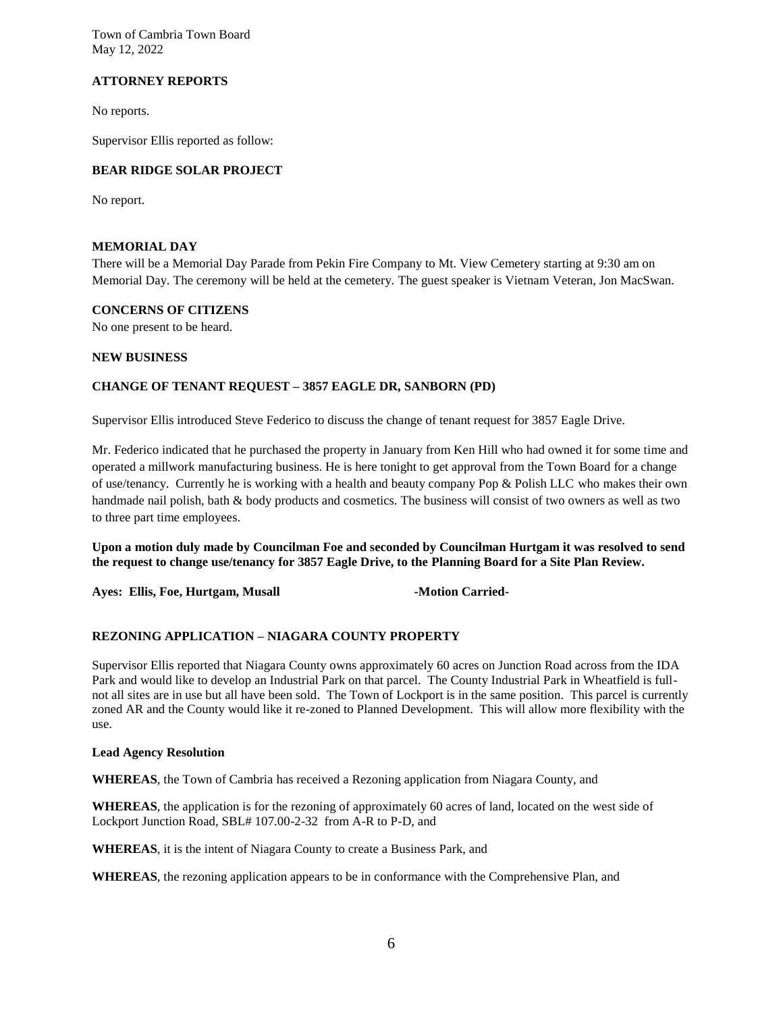## **ATTORNEY REPORTS**

No reports.

Supervisor Ellis reported as follow:

## **BEAR RIDGE SOLAR PROJECT**

No report.

#### **MEMORIAL DAY**

There will be a Memorial Day Parade from Pekin Fire Company to Mt. View Cemetery starting at 9:30 am on Memorial Day. The ceremony will be held at the cemetery. The guest speaker is Vietnam Veteran, Jon MacSwan.

## **CONCERNS OF CITIZENS**

No one present to be heard.

#### **NEW BUSINESS**

## **CHANGE OF TENANT REQUEST – 3857 EAGLE DR, SANBORN (PD)**

Supervisor Ellis introduced Steve Federico to discuss the change of tenant request for 3857 Eagle Drive.

Mr. Federico indicated that he purchased the property in January from Ken Hill who had owned it for some time and operated a millwork manufacturing business. He is here tonight to get approval from the Town Board for a change of use/tenancy. Currently he is working with a health and beauty company Pop & Polish LLC who makes their own handmade nail polish, bath & body products and cosmetics. The business will consist of two owners as well as two to three part time employees.

**Upon a motion duly made by Councilman Foe and seconded by Councilman Hurtgam it was resolved to send the request to change use/tenancy for 3857 Eagle Drive, to the Planning Board for a Site Plan Review.**

Ayes: Ellis, Foe, Hurtgam, Musall **-Motion Carried-**

## **REZONING APPLICATION – NIAGARA COUNTY PROPERTY**

Supervisor Ellis reported that Niagara County owns approximately 60 acres on Junction Road across from the IDA Park and would like to develop an Industrial Park on that parcel. The County Industrial Park in Wheatfield is fullnot all sites are in use but all have been sold. The Town of Lockport is in the same position. This parcel is currently zoned AR and the County would like it re-zoned to Planned Development. This will allow more flexibility with the use.

#### **Lead Agency Resolution**

**WHEREAS**, the Town of Cambria has received a Rezoning application from Niagara County, and

**WHEREAS**, the application is for the rezoning of approximately 60 acres of land, located on the west side of Lockport Junction Road, SBL# 107.00-2-32 from A-R to P-D, and

**WHEREAS**, it is the intent of Niagara County to create a Business Park, and

**WHEREAS**, the rezoning application appears to be in conformance with the Comprehensive Plan, and